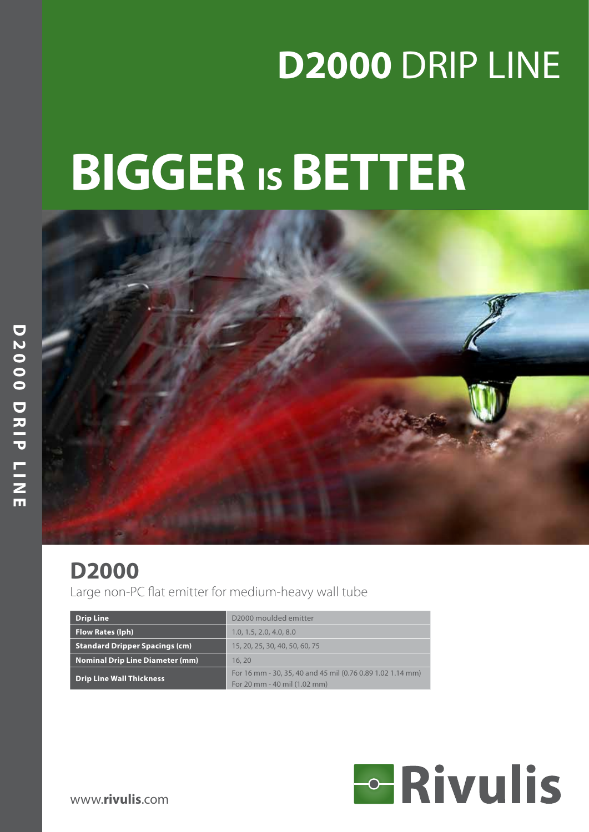# **D2000** DRIP LINE

# **BIGGER ISBETTER**



# **D2000**

Large non-PC flat emitter for medium-heavy wall tube

| <b>Drip Line</b>                       | D2000 moulded emitter                                      |  |  |  |  |  |
|----------------------------------------|------------------------------------------------------------|--|--|--|--|--|
| Flow Rates (lph)                       | 1.0, 1.5, 2.0, 4.0, 8.0                                    |  |  |  |  |  |
| <b>Standard Dripper Spacings (cm)</b>  | 15, 20, 25, 30, 40, 50, 60, 75                             |  |  |  |  |  |
| <b>Nominal Drip Line Diameter (mm)</b> | 16, 20                                                     |  |  |  |  |  |
| <b>Drip Line Wall Thickness</b>        | For 16 mm - 30, 35, 40 and 45 mil (0.76 0.89 1.02 1.14 mm) |  |  |  |  |  |
|                                        | For 20 mm - 40 mil (1.02 mm)                               |  |  |  |  |  |

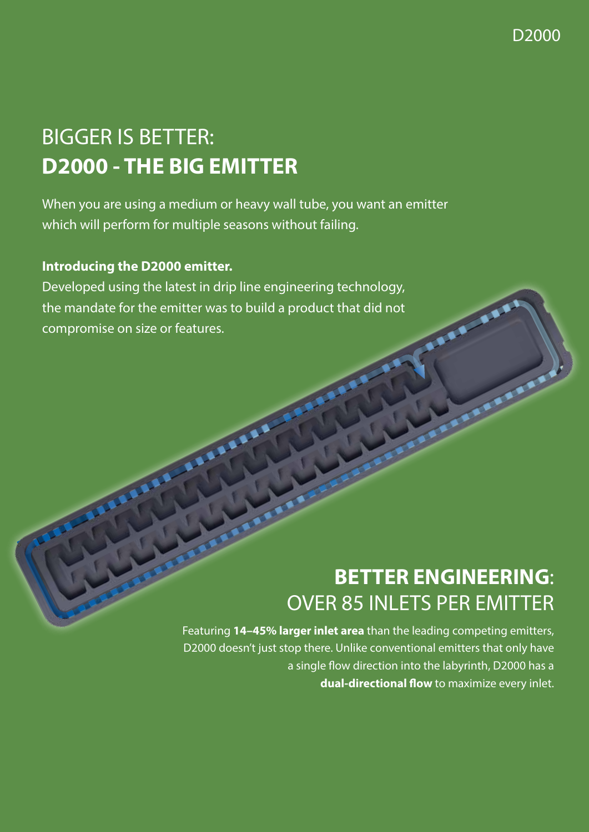D2000

# BIGGER IS BETTER: **D2000 - THE BIG EMITTER**

When you are using a medium or heavy wall tube, you want an emitter which will perform for multiple seasons without failing.

#### **Introducing the D2000 emitter.**

Developed using the latest in drip line engineering technology, the mandate for the emitter was to build a product that did not compromise on size or features.

# **BETTER ENGINEERING**: OVER 85 INLETS PER EMITTER

Featuring **14–45% larger inlet area** than the leading competing emitters, D2000 doesn't just stop there. Unlike conventional emitters that only have a single flow direction into the labyrinth, D2000 has a **dual-directional flow** to maximize every inlet.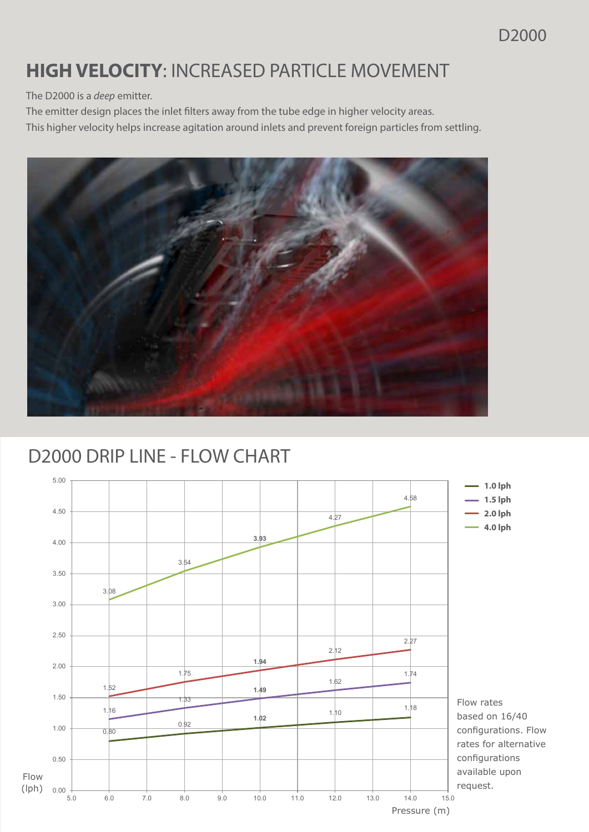#### D2000

## **HIGH VELOCITY**: INCREASED PARTICLE MOVEMENT

The D2000 is a *deep* emitter.

The emitter design places the inlet filters away from the tube edge in higher velocity areas.

This higher velocity helps increase agitation around inlets and prevent foreign particles from settling.



#### D2000 DRIP LINE - FLOW CHART 3.00 000 DRILINE E . .

3.08